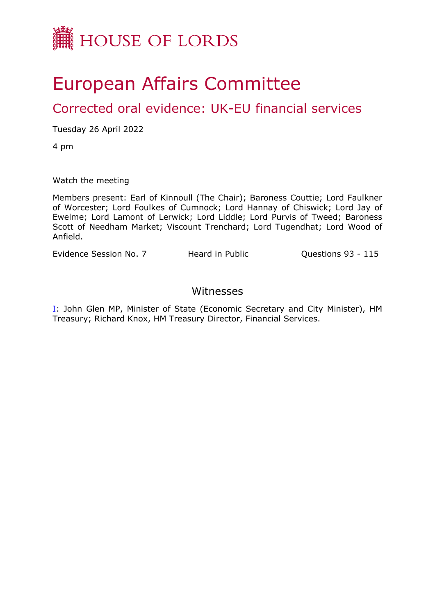

## European Affairs Committee

## Corrected oral evidence: UK-EU financial services

Tuesday 26 April 2022

4 pm

Watch the meeting

Members present: Earl of Kinnoull (The Chair); Baroness Couttie; Lord Faulkner of Worcester; Lord Foulkes of Cumnock; Lord Hannay of Chiswick; Lord Jay of Ewelme; Lord Lamont of Lerwick; Lord Liddle; Lord Purvis of Tweed; Baroness Scott of Needham Market; Viscount Trenchard; Lord Tugendhat; Lord Wood of Anfield.

Evidence Session No. 7 Theard in Public Cuestions 93 - 115

## Witnesses

I: John Glen MP, Minister of State (Economic Secretary and City Minister), HM Treasury; Richard Knox, HM Treasury Director, Financial Services.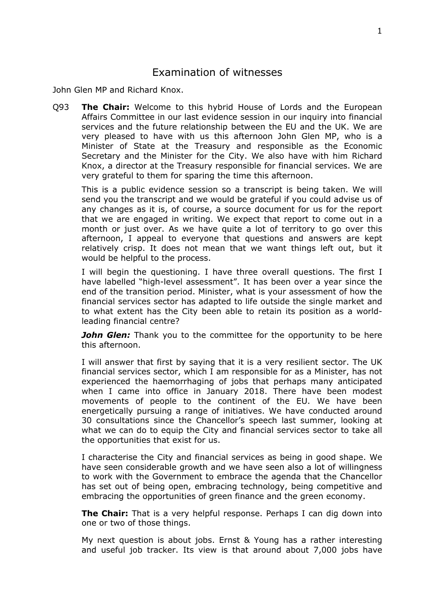## Examination of witnesses

John Glen MP and Richard Knox.

Q93 **The Chair:** Welcome to this hybrid House of Lords and the European Affairs Committee in our last evidence session in our inquiry into financial services and the future relationship between the EU and the UK. We are very pleased to have with us this afternoon John Glen MP, who is a Minister of State at the Treasury and responsible as the Economic Secretary and the Minister for the City. We also have with him Richard Knox, a director at the Treasury responsible for financial services. We are very grateful to them for sparing the time this afternoon.

This is a public evidence session so a transcript is being taken. We will send you the transcript and we would be grateful if you could advise us of any changes as it is, of course, a source document for us for the report that we are engaged in writing. We expect that report to come out in a month or just over. As we have quite a lot of territory to go over this afternoon, I appeal to everyone that questions and answers are kept relatively crisp. It does not mean that we want things left out, but it would be helpful to the process.

I will begin the questioning. I have three overall questions. The first I have labelled "high-level assessment". It has been over a year since the end of the transition period. Minister, what is your assessment of how the financial services sector has adapted to life outside the single market and to what extent has the City been able to retain its position as a worldleading financial centre?

*John Glen:* Thank you to the committee for the opportunity to be here this afternoon.

I will answer that first by saying that it is a very resilient sector. The UK financial services sector, which I am responsible for as a Minister, has not experienced the haemorrhaging of jobs that perhaps many anticipated when I came into office in January 2018. There have been modest movements of people to the continent of the EU. We have been energetically pursuing a range of initiatives. We have conducted around 30 consultations since the Chancellor's speech last summer, looking at what we can do to equip the City and financial services sector to take all the opportunities that exist for us.

I characterise the City and financial services as being in good shape. We have seen considerable growth and we have seen also a lot of willingness to work with the Government to embrace the agenda that the Chancellor has set out of being open, embracing technology, being competitive and embracing the opportunities of green finance and the green economy.

**The Chair:** That is a very helpful response. Perhaps I can dig down into one or two of those things.

My next question is about jobs. Ernst & Young has a rather interesting and useful job tracker. Its view is that around about 7,000 jobs have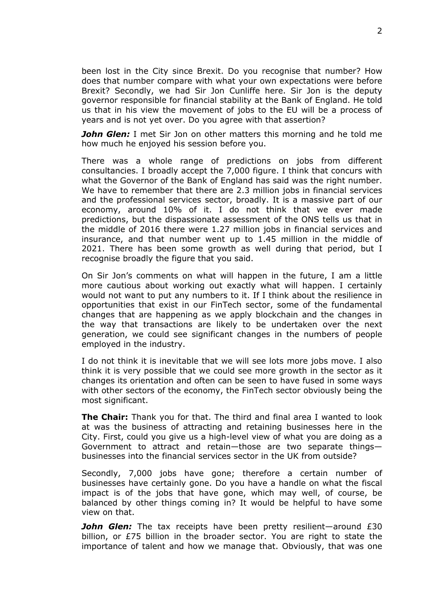been lost in the City since Brexit. Do you recognise that number? How does that number compare with what your own expectations were before Brexit? Secondly, we had Sir Jon Cunliffe here. Sir Jon is the deputy governor responsible for financial stability at the Bank of England. He told us that in his view the movement of jobs to the EU will be a process of years and is not yet over. Do you agree with that assertion?

*John Glen:* I met Sir Jon on other matters this morning and he told me how much he enjoyed his session before you.

There was a whole range of predictions on jobs from different consultancies. I broadly accept the 7,000 figure. I think that concurs with what the Governor of the Bank of England has said was the right number. We have to remember that there are 2.3 million jobs in financial services and the professional services sector, broadly. It is a massive part of our economy, around 10% of it. I do not think that we ever made predictions, but the dispassionate assessment of the ONS tells us that in the middle of 2016 there were 1.27 million jobs in financial services and insurance, and that number went up to 1.45 million in the middle of 2021. There has been some growth as well during that period, but I recognise broadly the figure that you said.

On Sir Jon's comments on what will happen in the future, I am a little more cautious about working out exactly what will happen. I certainly would not want to put any numbers to it. If I think about the resilience in opportunities that exist in our FinTech sector, some of the fundamental changes that are happening as we apply blockchain and the changes in the way that transactions are likely to be undertaken over the next generation, we could see significant changes in the numbers of people employed in the industry.

I do not think it is inevitable that we will see lots more jobs move. I also think it is very possible that we could see more growth in the sector as it changes its orientation and often can be seen to have fused in some ways with other sectors of the economy, the FinTech sector obviously being the most significant.

**The Chair:** Thank you for that. The third and final area I wanted to look at was the business of attracting and retaining businesses here in the City. First, could you give us a high-level view of what you are doing as a Government to attract and retain—those are two separate things businesses into the financial services sector in the UK from outside?

Secondly, 7,000 jobs have gone; therefore a certain number of businesses have certainly gone. Do you have a handle on what the fiscal impact is of the jobs that have gone, which may well, of course, be balanced by other things coming in? It would be helpful to have some view on that.

*John Glen:* The tax receipts have been pretty resilient—around £30 billion, or £75 billion in the broader sector. You are right to state the importance of talent and how we manage that. Obviously, that was one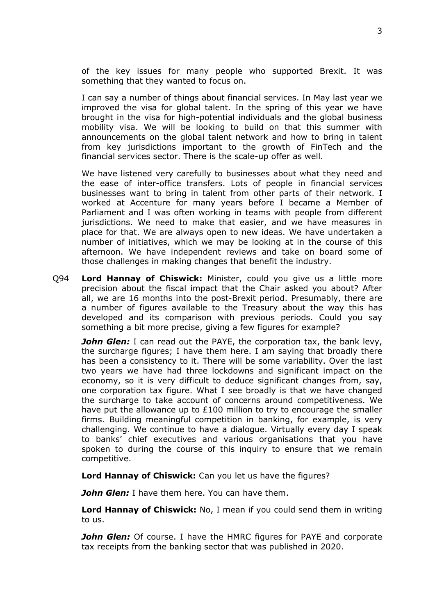of the key issues for many people who supported Brexit. It was something that they wanted to focus on.

I can say a number of things about financial services. In May last year we improved the visa for global talent. In the spring of this year we have brought in the visa for high-potential individuals and the global business mobility visa. We will be looking to build on that this summer with announcements on the global talent network and how to bring in talent from key jurisdictions important to the growth of FinTech and the financial services sector. There is the scale-up offer as well.

We have listened very carefully to businesses about what they need and the ease of inter-office transfers. Lots of people in financial services businesses want to bring in talent from other parts of their network. I worked at Accenture for many years before I became a Member of Parliament and I was often working in teams with people from different jurisdictions. We need to make that easier, and we have measures in place for that. We are always open to new ideas. We have undertaken a number of initiatives, which we may be looking at in the course of this afternoon. We have independent reviews and take on board some of those challenges in making changes that benefit the industry.

Q94 **Lord Hannay of Chiswick:** Minister, could you give us a little more precision about the fiscal impact that the Chair asked you about? After all, we are 16 months into the post-Brexit period. Presumably, there are a number of figures available to the Treasury about the way this has developed and its comparison with previous periods. Could you say something a bit more precise, giving a few figures for example?

*John Glen:* I can read out the PAYE, the corporation tax, the bank levy, the surcharge figures; I have them here. I am saying that broadly there has been a consistency to it. There will be some variability. Over the last two years we have had three lockdowns and significant impact on the economy, so it is very difficult to deduce significant changes from, say, one corporation tax figure. What I see broadly is that we have changed the surcharge to take account of concerns around competitiveness. We have put the allowance up to £100 million to try to encourage the smaller firms. Building meaningful competition in banking, for example, is very challenging. We continue to have a dialogue. Virtually every day I speak to banks' chief executives and various organisations that you have spoken to during the course of this inquiry to ensure that we remain competitive.

**Lord Hannay of Chiswick:** Can you let us have the figures?

*John Glen:* I have them here. You can have them.

**Lord Hannay of Chiswick:** No, I mean if you could send them in writing to us.

*John Glen:* Of course. I have the HMRC figures for PAYE and corporate tax receipts from the banking sector that was published in 2020.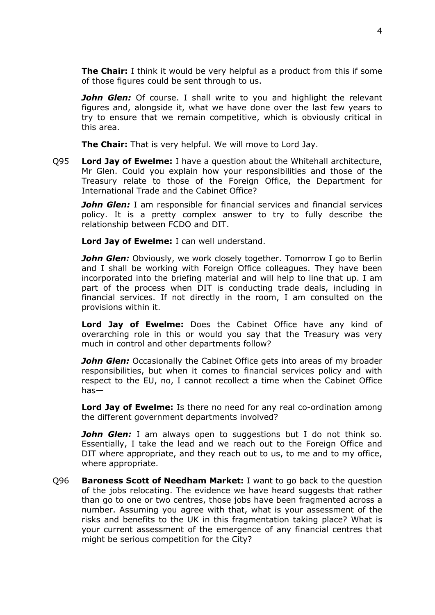**The Chair:** I think it would be very helpful as a product from this if some of those figures could be sent through to us.

*John Glen:* Of course. I shall write to you and highlight the relevant figures and, alongside it, what we have done over the last few years to try to ensure that we remain competitive, which is obviously critical in this area.

**The Chair:** That is very helpful. We will move to Lord Jay.

Q95 **Lord Jay of Ewelme:** I have a question about the Whitehall architecture, Mr Glen. Could you explain how your responsibilities and those of the Treasury relate to those of the Foreign Office, the Department for International Trade and the Cabinet Office?

*John Glen:* I am responsible for financial services and financial services policy. It is a pretty complex answer to try to fully describe the relationship between FCDO and DIT.

**Lord Jay of Ewelme:** I can well understand.

**John Glen:** Obviously, we work closely together. Tomorrow I go to Berlin and I shall be working with Foreign Office colleagues. They have been incorporated into the briefing material and will help to line that up. I am part of the process when DIT is conducting trade deals, including in financial services. If not directly in the room, I am consulted on the provisions within it.

**Lord Jay of Ewelme:** Does the Cabinet Office have any kind of overarching role in this or would you say that the Treasury was very much in control and other departments follow?

*John Glen:* Occasionally the Cabinet Office gets into areas of my broader responsibilities, but when it comes to financial services policy and with respect to the EU, no, I cannot recollect a time when the Cabinet Office has—

**Lord Jay of Ewelme:** Is there no need for any real co-ordination among the different government departments involved?

*John Glen:* I am always open to suggestions but I do not think so. Essentially, I take the lead and we reach out to the Foreign Office and DIT where appropriate, and they reach out to us, to me and to my office, where appropriate.

Q96 **Baroness Scott of Needham Market:** I want to go back to the question of the jobs relocating. The evidence we have heard suggests that rather than go to one or two centres, those jobs have been fragmented across a number. Assuming you agree with that, what is your assessment of the risks and benefits to the UK in this fragmentation taking place? What is your current assessment of the emergence of any financial centres that might be serious competition for the City?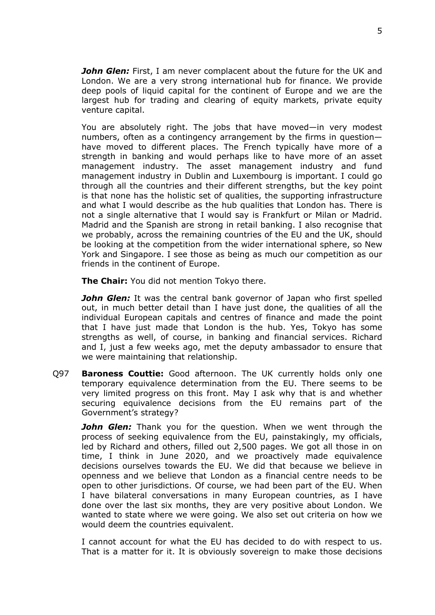*John Glen:* First, I am never complacent about the future for the UK and London. We are a very strong international hub for finance. We provide deep pools of liquid capital for the continent of Europe and we are the largest hub for trading and clearing of equity markets, private equity venture capital.

You are absolutely right. The jobs that have moved—in very modest numbers, often as a contingency arrangement by the firms in question have moved to different places. The French typically have more of a strength in banking and would perhaps like to have more of an asset management industry. The asset management industry and fund management industry in Dublin and Luxembourg is important. I could go through all the countries and their different strengths, but the key point is that none has the holistic set of qualities, the supporting infrastructure and what I would describe as the hub qualities that London has. There is not a single alternative that I would say is Frankfurt or Milan or Madrid. Madrid and the Spanish are strong in retail banking. I also recognise that we probably, across the remaining countries of the EU and the UK, should be looking at the competition from the wider international sphere, so New York and Singapore. I see those as being as much our competition as our friends in the continent of Europe.

**The Chair:** You did not mention Tokyo there.

**John Glen:** It was the central bank governor of Japan who first spelled out, in much better detail than I have just done, the qualities of all the individual European capitals and centres of finance and made the point that I have just made that London is the hub. Yes, Tokyo has some strengths as well, of course, in banking and financial services. Richard and I, just a few weeks ago, met the deputy ambassador to ensure that we were maintaining that relationship.

Q97 **Baroness Couttie:** Good afternoon. The UK currently holds only one temporary equivalence determination from the EU. There seems to be very limited progress on this front. May I ask why that is and whether securing equivalence decisions from the EU remains part of the Government's strategy?

*John Glen:* Thank you for the question. When we went through the process of seeking equivalence from the EU, painstakingly, my officials, led by Richard and others, filled out 2,500 pages. We got all those in on time, I think in June 2020, and we proactively made equivalence decisions ourselves towards the EU. We did that because we believe in openness and we believe that London as a financial centre needs to be open to other jurisdictions. Of course, we had been part of the EU. When I have bilateral conversations in many European countries, as I have done over the last six months, they are very positive about London. We wanted to state where we were going. We also set out criteria on how we would deem the countries equivalent.

I cannot account for what the EU has decided to do with respect to us. That is a matter for it. It is obviously sovereign to make those decisions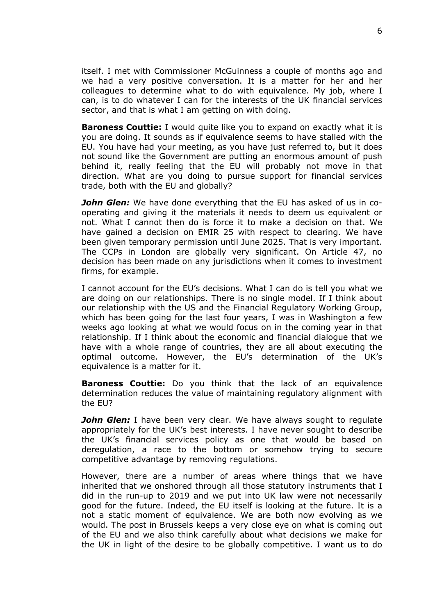itself. I met with Commissioner McGuinness a couple of months ago and we had a very positive conversation. It is a matter for her and her colleagues to determine what to do with equivalence. My job, where I can, is to do whatever I can for the interests of the UK financial services sector, and that is what I am getting on with doing.

**Baroness Couttie:** I would quite like you to expand on exactly what it is you are doing. It sounds as if equivalence seems to have stalled with the EU. You have had your meeting, as you have just referred to, but it does not sound like the Government are putting an enormous amount of push behind it, really feeling that the EU will probably not move in that direction. What are you doing to pursue support for financial services trade, both with the EU and globally?

*John Glen:* We have done everything that the EU has asked of us in cooperating and giving it the materials it needs to deem us equivalent or not. What I cannot then do is force it to make a decision on that. We have gained a decision on EMIR 25 with respect to clearing. We have been given temporary permission until June 2025. That is very important. The CCPs in London are globally very significant. On Article 47, no decision has been made on any jurisdictions when it comes to investment firms, for example.

I cannot account for the EU's decisions. What I can do is tell you what we are doing on our relationships. There is no single model. If I think about our relationship with the US and the Financial Regulatory Working Group, which has been going for the last four years, I was in Washington a few weeks ago looking at what we would focus on in the coming year in that relationship. If I think about the economic and financial dialogue that we have with a whole range of countries, they are all about executing the optimal outcome. However, the EU's determination of the UK's equivalence is a matter for it.

**Baroness Couttie:** Do you think that the lack of an equivalence determination reduces the value of maintaining regulatory alignment with the EU?

*John Glen:* I have been very clear. We have always sought to regulate appropriately for the UK's best interests. I have never sought to describe the UK's financial services policy as one that would be based on deregulation, a race to the bottom or somehow trying to secure competitive advantage by removing regulations.

However, there are a number of areas where things that we have inherited that we onshored through all those statutory instruments that I did in the run-up to 2019 and we put into UK law were not necessarily good for the future. Indeed, the EU itself is looking at the future. It is a not a static moment of equivalence. We are both now evolving as we would. The post in Brussels keeps a very close eye on what is coming out of the EU and we also think carefully about what decisions we make for the UK in light of the desire to be globally competitive. I want us to do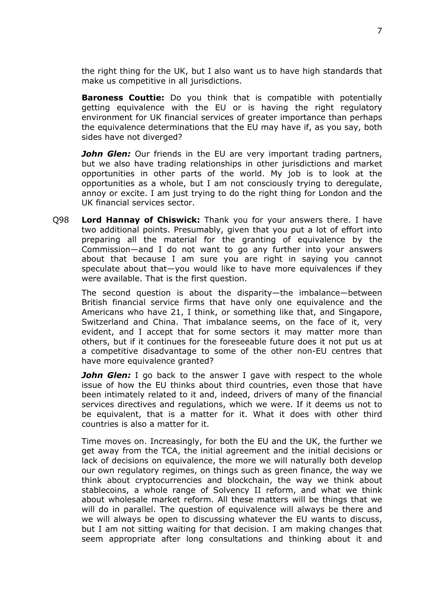the right thing for the UK, but I also want us to have high standards that make us competitive in all jurisdictions.

**Baroness Couttie:** Do you think that is compatible with potentially getting equivalence with the EU or is having the right regulatory environment for UK financial services of greater importance than perhaps the equivalence determinations that the EU may have if, as you say, both sides have not diverged?

**John Glen:** Our friends in the EU are very important trading partners, but we also have trading relationships in other jurisdictions and market opportunities in other parts of the world. My job is to look at the opportunities as a whole, but I am not consciously trying to deregulate, annoy or excite. I am just trying to do the right thing for London and the UK financial services sector.

Q98 **Lord Hannay of Chiswick:** Thank you for your answers there. I have two additional points. Presumably, given that you put a lot of effort into preparing all the material for the granting of equivalence by the Commission—and I do not want to go any further into your answers about that because I am sure you are right in saying you cannot speculate about that—you would like to have more equivalences if they were available. That is the first question.

The second question is about the disparity—the imbalance—between British financial service firms that have only one equivalence and the Americans who have 21, I think, or something like that, and Singapore, Switzerland and China. That imbalance seems, on the face of it, very evident, and I accept that for some sectors it may matter more than others, but if it continues for the foreseeable future does it not put us at a competitive disadvantage to some of the other non-EU centres that have more equivalence granted?

*John Glen:* I go back to the answer I gave with respect to the whole issue of how the EU thinks about third countries, even those that have been intimately related to it and, indeed, drivers of many of the financial services directives and regulations, which we were. If it deems us not to be equivalent, that is a matter for it. What it does with other third countries is also a matter for it.

Time moves on. Increasingly, for both the EU and the UK, the further we get away from the TCA, the initial agreement and the initial decisions or lack of decisions on equivalence, the more we will naturally both develop our own regulatory regimes, on things such as green finance, the way we think about cryptocurrencies and blockchain, the way we think about stablecoins, a whole range of Solvency II reform, and what we think about wholesale market reform. All these matters will be things that we will do in parallel. The question of equivalence will always be there and we will always be open to discussing whatever the EU wants to discuss, but I am not sitting waiting for that decision. I am making changes that seem appropriate after long consultations and thinking about it and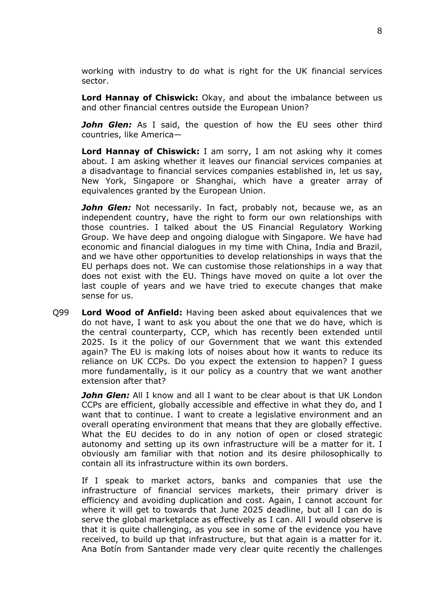working with industry to do what is right for the UK financial services sector.

**Lord Hannay of Chiswick:** Okay, and about the imbalance between us and other financial centres outside the European Union?

*John Glen:* As I said, the question of how the EU sees other third countries, like America—

**Lord Hannay of Chiswick:** I am sorry, I am not asking why it comes about. I am asking whether it leaves our financial services companies at a disadvantage to financial services companies established in, let us say, New York, Singapore or Shanghai, which have a greater array of equivalences granted by the European Union.

**John Glen:** Not necessarily. In fact, probably not, because we, as an independent country, have the right to form our own relationships with those countries. I talked about the US Financial Regulatory Working Group. We have deep and ongoing dialogue with Singapore. We have had economic and financial dialogues in my time with China, India and Brazil, and we have other opportunities to develop relationships in ways that the EU perhaps does not. We can customise those relationships in a way that does not exist with the EU. Things have moved on quite a lot over the last couple of years and we have tried to execute changes that make sense for us.

Q99 **Lord Wood of Anfield:** Having been asked about equivalences that we do not have, I want to ask you about the one that we do have, which is the central counterparty, CCP, which has recently been extended until 2025. Is it the policy of our Government that we want this extended again? The EU is making lots of noises about how it wants to reduce its reliance on UK CCPs. Do you expect the extension to happen? I guess more fundamentally, is it our policy as a country that we want another extension after that?

*John Glen:* All I know and all I want to be clear about is that UK London CCPs are efficient, globally accessible and effective in what they do, and I want that to continue. I want to create a legislative environment and an overall operating environment that means that they are globally effective. What the EU decides to do in any notion of open or closed strategic autonomy and setting up its own infrastructure will be a matter for it. I obviously am familiar with that notion and its desire philosophically to contain all its infrastructure within its own borders.

If I speak to market actors, banks and companies that use the infrastructure of financial services markets, their primary driver is efficiency and avoiding duplication and cost. Again, I cannot account for where it will get to towards that June 2025 deadline, but all I can do is serve the global marketplace as effectively as I can. All I would observe is that it is quite challenging, as you see in some of the evidence you have received, to build up that infrastructure, but that again is a matter for it. Ana Botín from Santander made very clear quite recently the challenges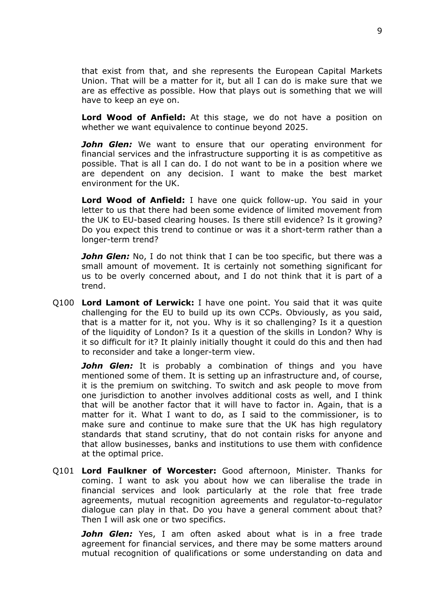that exist from that, and she represents the European Capital Markets Union. That will be a matter for it, but all I can do is make sure that we are as effective as possible. How that plays out is something that we will have to keep an eye on.

**Lord Wood of Anfield:** At this stage, we do not have a position on whether we want equivalence to continue beyond 2025.

*John Glen:* We want to ensure that our operating environment for financial services and the infrastructure supporting it is as competitive as possible. That is all I can do. I do not want to be in a position where we are dependent on any decision. I want to make the best market environment for the UK.

**Lord Wood of Anfield:** I have one quick follow-up. You said in your letter to us that there had been some evidence of limited movement from the UK to EU-based clearing houses. Is there still evidence? Is it growing? Do you expect this trend to continue or was it a short-term rather than a longer-term trend?

*John Glen:* No, I do not think that I can be too specific, but there was a small amount of movement. It is certainly not something significant for us to be overly concerned about, and I do not think that it is part of a trend.

Q100 **Lord Lamont of Lerwick:** I have one point. You said that it was quite challenging for the EU to build up its own CCPs. Obviously, as you said, that is a matter for it, not you. Why is it so challenging? Is it a question of the liquidity of London? Is it a question of the skills in London? Why is it so difficult for it? It plainly initially thought it could do this and then had to reconsider and take a longer-term view.

**John Glen:** It is probably a combination of things and you have mentioned some of them. It is setting up an infrastructure and, of course, it is the premium on switching. To switch and ask people to move from one jurisdiction to another involves additional costs as well, and I think that will be another factor that it will have to factor in. Again, that is a matter for it. What I want to do, as I said to the commissioner, is to make sure and continue to make sure that the UK has high regulatory standards that stand scrutiny, that do not contain risks for anyone and that allow businesses, banks and institutions to use them with confidence at the optimal price.

Q101 **Lord Faulkner of Worcester:** Good afternoon, Minister. Thanks for coming. I want to ask you about how we can liberalise the trade in financial services and look particularly at the role that free trade agreements, mutual recognition agreements and regulator-to-regulator dialogue can play in that. Do you have a general comment about that? Then I will ask one or two specifics.

*John Glen:* Yes, I am often asked about what is in a free trade agreement for financial services, and there may be some matters around mutual recognition of qualifications or some understanding on data and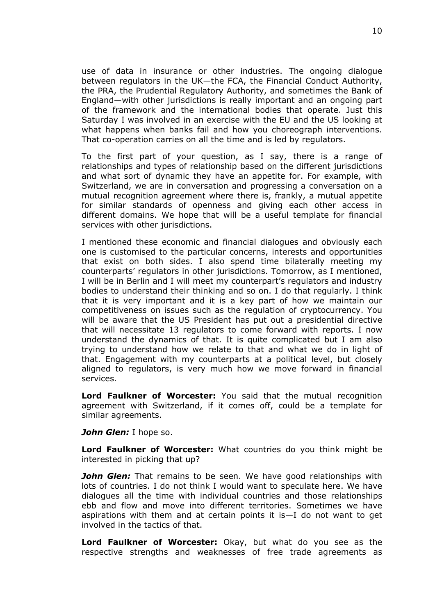use of data in insurance or other industries. The ongoing dialogue between regulators in the UK—the FCA, the Financial Conduct Authority, the PRA, the Prudential Regulatory Authority, and sometimes the Bank of England—with other jurisdictions is really important and an ongoing part of the framework and the international bodies that operate. Just this Saturday I was involved in an exercise with the EU and the US looking at what happens when banks fail and how you choreograph interventions. That co-operation carries on all the time and is led by regulators.

To the first part of your question, as I say, there is a range of relationships and types of relationship based on the different jurisdictions and what sort of dynamic they have an appetite for. For example, with Switzerland, we are in conversation and progressing a conversation on a mutual recognition agreement where there is, frankly, a mutual appetite for similar standards of openness and giving each other access in different domains. We hope that will be a useful template for financial services with other jurisdictions.

I mentioned these economic and financial dialogues and obviously each one is customised to the particular concerns, interests and opportunities that exist on both sides. I also spend time bilaterally meeting my counterparts' regulators in other jurisdictions. Tomorrow, as I mentioned, I will be in Berlin and I will meet my counterpart's regulators and industry bodies to understand their thinking and so on. I do that regularly. I think that it is very important and it is a key part of how we maintain our competitiveness on issues such as the regulation of cryptocurrency. You will be aware that the US President has put out a presidential directive that will necessitate 13 regulators to come forward with reports. I now understand the dynamics of that. It is quite complicated but I am also trying to understand how we relate to that and what we do in light of that. Engagement with my counterparts at a political level, but closely aligned to regulators, is very much how we move forward in financial services.

**Lord Faulkner of Worcester:** You said that the mutual recognition agreement with Switzerland, if it comes off, could be a template for similar agreements.

*John Glen:* I hope so.

**Lord Faulkner of Worcester:** What countries do you think might be interested in picking that up?

**John Glen:** That remains to be seen. We have good relationships with lots of countries. I do not think I would want to speculate here. We have dialogues all the time with individual countries and those relationships ebb and flow and move into different territories. Sometimes we have aspirations with them and at certain points it is—I do not want to get involved in the tactics of that.

**Lord Faulkner of Worcester:** Okay, but what do you see as the respective strengths and weaknesses of free trade agreements as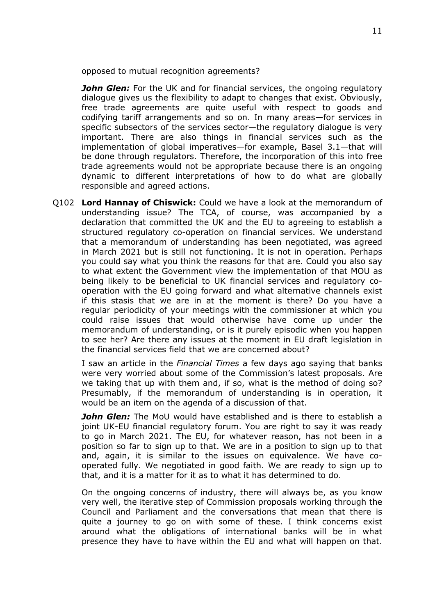opposed to mutual recognition agreements?

*John Glen:* For the UK and for financial services, the ongoing regulatory dialogue gives us the flexibility to adapt to changes that exist. Obviously, free trade agreements are quite useful with respect to goods and codifying tariff arrangements and so on. In many areas—for services in specific subsectors of the services sector—the regulatory dialogue is very important. There are also things in financial services such as the implementation of global imperatives—for example, Basel 3.1—that will be done through regulators. Therefore, the incorporation of this into free trade agreements would not be appropriate because there is an ongoing dynamic to different interpretations of how to do what are globally responsible and agreed actions.

Q102 **Lord Hannay of Chiswick:** Could we have a look at the memorandum of understanding issue? The TCA, of course, was accompanied by a declaration that committed the UK and the EU to agreeing to establish a structured regulatory co-operation on financial services. We understand that a memorandum of understanding has been negotiated, was agreed in March 2021 but is still not functioning. It is not in operation. Perhaps you could say what you think the reasons for that are. Could you also say to what extent the Government view the implementation of that MOU as being likely to be beneficial to UK financial services and regulatory cooperation with the EU going forward and what alternative channels exist if this stasis that we are in at the moment is there? Do you have a regular periodicity of your meetings with the commissioner at which you could raise issues that would otherwise have come up under the memorandum of understanding, or is it purely episodic when you happen to see her? Are there any issues at the moment in EU draft legislation in the financial services field that we are concerned about?

I saw an article in the *Financial Times* a few days ago saying that banks were very worried about some of the Commission's latest proposals. Are we taking that up with them and, if so, what is the method of doing so? Presumably, if the memorandum of understanding is in operation, it would be an item on the agenda of a discussion of that.

*John Glen:* The MoU would have established and is there to establish a joint UK-EU financial regulatory forum. You are right to say it was ready to go in March 2021. The EU, for whatever reason, has not been in a position so far to sign up to that. We are in a position to sign up to that and, again, it is similar to the issues on equivalence. We have cooperated fully. We negotiated in good faith. We are ready to sign up to that, and it is a matter for it as to what it has determined to do.

On the ongoing concerns of industry, there will always be, as you know very well, the iterative step of Commission proposals working through the Council and Parliament and the conversations that mean that there is quite a journey to go on with some of these. I think concerns exist around what the obligations of international banks will be in what presence they have to have within the EU and what will happen on that.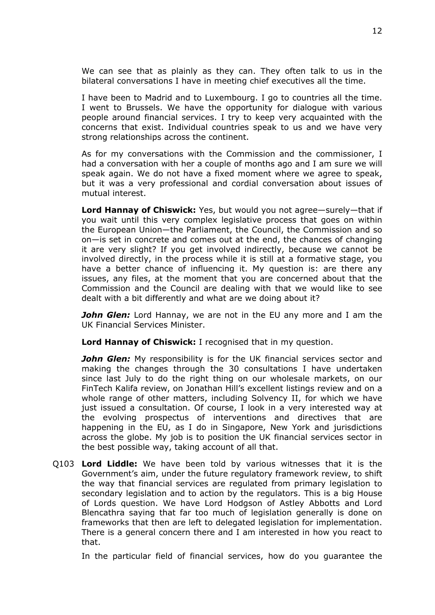We can see that as plainly as they can. They often talk to us in the bilateral conversations I have in meeting chief executives all the time.

I have been to Madrid and to Luxembourg. I go to countries all the time. I went to Brussels. We have the opportunity for dialogue with various people around financial services. I try to keep very acquainted with the concerns that exist. Individual countries speak to us and we have very strong relationships across the continent.

As for my conversations with the Commission and the commissioner, I had a conversation with her a couple of months ago and I am sure we will speak again. We do not have a fixed moment where we agree to speak, but it was a very professional and cordial conversation about issues of mutual interest.

**Lord Hannay of Chiswick:** Yes, but would you not agree—surely—that if you wait until this very complex legislative process that goes on within the European Union—the Parliament, the Council, the Commission and so on—is set in concrete and comes out at the end, the chances of changing it are very slight? If you get involved indirectly, because we cannot be involved directly, in the process while it is still at a formative stage, you have a better chance of influencing it. My question is: are there any issues, any files, at the moment that you are concerned about that the Commission and the Council are dealing with that we would like to see dealt with a bit differently and what are we doing about it?

*John Glen:* Lord Hannay, we are not in the EU any more and I am the UK Financial Services Minister.

**Lord Hannay of Chiswick:** I recognised that in my question.

*John Glen:* My responsibility is for the UK financial services sector and making the changes through the 30 consultations I have undertaken since last July to do the right thing on our wholesale markets, on our FinTech Kalifa review, on Jonathan Hill's excellent listings review and on a whole range of other matters, including Solvency II, for which we have just issued a consultation. Of course, I look in a very interested way at the evolving prospectus of interventions and directives that are happening in the EU, as I do in Singapore, New York and jurisdictions across the globe. My job is to position the UK financial services sector in the best possible way, taking account of all that.

Q103 **Lord Liddle:** We have been told by various witnesses that it is the Government's aim, under the future regulatory framework review, to shift the way that financial services are regulated from primary legislation to secondary legislation and to action by the regulators. This is a big House of Lords question. We have Lord Hodgson of Astley Abbotts and Lord Blencathra saying that far too much of legislation generally is done on frameworks that then are left to delegated legislation for implementation. There is a general concern there and I am interested in how you react to that.

In the particular field of financial services, how do you guarantee the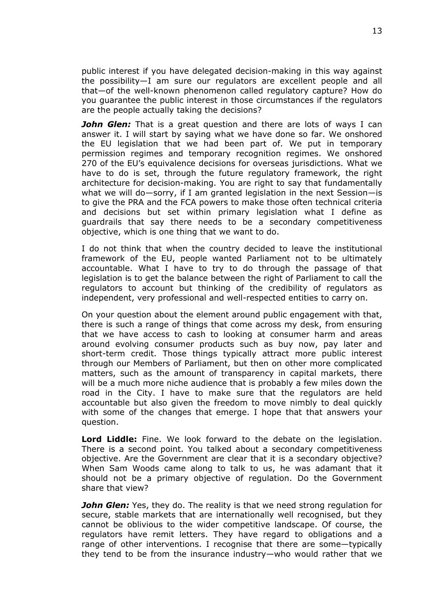public interest if you have delegated decision-making in this way against the possibility—I am sure our regulators are excellent people and all that—of the well-known phenomenon called regulatory capture? How do you guarantee the public interest in those circumstances if the regulators are the people actually taking the decisions?

*John Glen:* That is a great question and there are lots of ways I can answer it. I will start by saying what we have done so far. We onshored the EU legislation that we had been part of. We put in temporary permission regimes and temporary recognition regimes. We onshored 270 of the EU's equivalence decisions for overseas jurisdictions. What we have to do is set, through the future regulatory framework, the right architecture for decision-making. You are right to say that fundamentally what we will do—sorry, if I am granted legislation in the next Session—is to give the PRA and the FCA powers to make those often technical criteria and decisions but set within primary legislation what I define as guardrails that say there needs to be a secondary competitiveness objective, which is one thing that we want to do.

I do not think that when the country decided to leave the institutional framework of the EU, people wanted Parliament not to be ultimately accountable. What I have to try to do through the passage of that legislation is to get the balance between the right of Parliament to call the regulators to account but thinking of the credibility of regulators as independent, very professional and well-respected entities to carry on.

On your question about the element around public engagement with that, there is such a range of things that come across my desk, from ensuring that we have access to cash to looking at consumer harm and areas around evolving consumer products such as buy now, pay later and short-term credit. Those things typically attract more public interest through our Members of Parliament, but then on other more complicated matters, such as the amount of transparency in capital markets, there will be a much more niche audience that is probably a few miles down the road in the City. I have to make sure that the regulators are held accountable but also given the freedom to move nimbly to deal quickly with some of the changes that emerge. I hope that that answers your question.

**Lord Liddle:** Fine. We look forward to the debate on the legislation. There is a second point. You talked about a secondary competitiveness objective. Are the Government are clear that it is a secondary objective? When Sam Woods came along to talk to us, he was adamant that it should not be a primary objective of regulation. Do the Government share that view?

*John Glen:* Yes, they do. The reality is that we need strong regulation for secure, stable markets that are internationally well recognised, but they cannot be oblivious to the wider competitive landscape. Of course, the regulators have remit letters. They have regard to obligations and a range of other interventions. I recognise that there are some—typically they tend to be from the insurance industry—who would rather that we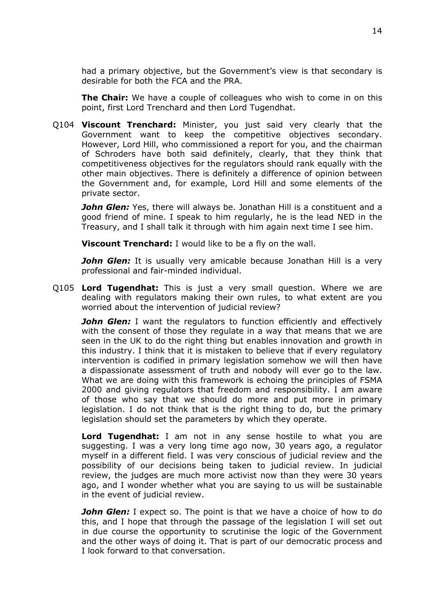had a primary objective, but the Government's view is that secondary is desirable for both the FCA and the PRA.

**The Chair:** We have a couple of colleagues who wish to come in on this point, first Lord Trenchard and then Lord Tugendhat.

Q104 **Viscount Trenchard:** Minister, you just said very clearly that the Government want to keep the competitive objectives secondary. However, Lord Hill, who commissioned a report for you, and the chairman of Schroders have both said definitely, clearly, that they think that competitiveness objectives for the regulators should rank equally with the other main objectives. There is definitely a difference of opinion between the Government and, for example, Lord Hill and some elements of the private sector.

**John Glen:** Yes, there will always be. Jonathan Hill is a constituent and a good friend of mine. I speak to him regularly, he is the lead NED in the Treasury, and I shall talk it through with him again next time I see him.

**Viscount Trenchard:** I would like to be a fly on the wall.

*John Glen:* It is usually very amicable because Jonathan Hill is a very professional and fair-minded individual.

Q105 **Lord Tugendhat:** This is just a very small question. Where we are dealing with regulators making their own rules, to what extent are you worried about the intervention of judicial review?

**John Glen:** I want the regulators to function efficiently and effectively with the consent of those they regulate in a way that means that we are seen in the UK to do the right thing but enables innovation and growth in this industry. I think that it is mistaken to believe that if every regulatory intervention is codified in primary legislation somehow we will then have a dispassionate assessment of truth and nobody will ever go to the law. What we are doing with this framework is echoing the principles of FSMA 2000 and giving regulators that freedom and responsibility. I am aware of those who say that we should do more and put more in primary legislation. I do not think that is the right thing to do, but the primary legislation should set the parameters by which they operate.

**Lord Tugendhat:** I am not in any sense hostile to what you are suggesting. I was a very long time ago now, 30 years ago, a regulator myself in a different field. I was very conscious of judicial review and the possibility of our decisions being taken to judicial review. In judicial review, the judges are much more activist now than they were 30 years ago, and I wonder whether what you are saying to us will be sustainable in the event of judicial review.

*John Glen:* I expect so. The point is that we have a choice of how to do this, and I hope that through the passage of the legislation I will set out in due course the opportunity to scrutinise the logic of the Government and the other ways of doing it. That is part of our democratic process and I look forward to that conversation.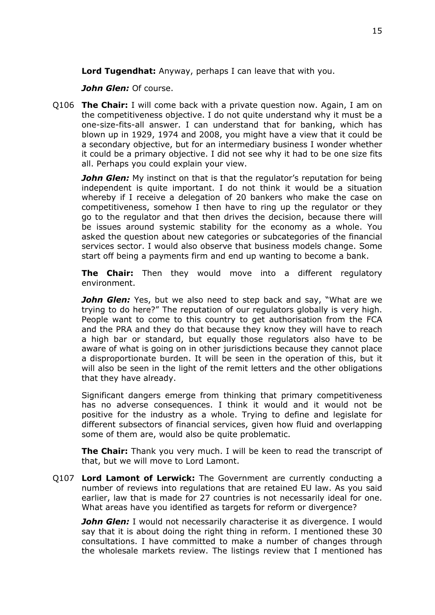**Lord Tugendhat:** Anyway, perhaps I can leave that with you.

*John Glen:* Of course.

Q106 **The Chair:** I will come back with a private question now. Again, I am on the competitiveness objective. I do not quite understand why it must be a one-size-fits-all answer. I can understand that for banking, which has blown up in 1929, 1974 and 2008, you might have a view that it could be a secondary objective, but for an intermediary business I wonder whether it could be a primary objective. I did not see why it had to be one size fits all. Perhaps you could explain your view.

*John Glen:* My instinct on that is that the regulator's reputation for being independent is quite important. I do not think it would be a situation whereby if I receive a delegation of 20 bankers who make the case on competitiveness, somehow I then have to ring up the regulator or they go to the regulator and that then drives the decision, because there will be issues around systemic stability for the economy as a whole. You asked the question about new categories or subcategories of the financial services sector. I would also observe that business models change. Some start off being a payments firm and end up wanting to become a bank.

**The Chair:** Then they would move into a different regulatory environment.

**John Glen:** Yes, but we also need to step back and say, "What are we trying to do here?" The reputation of our regulators globally is very high. People want to come to this country to get authorisation from the FCA and the PRA and they do that because they know they will have to reach a high bar or standard, but equally those regulators also have to be aware of what is going on in other jurisdictions because they cannot place a disproportionate burden. It will be seen in the operation of this, but it will also be seen in the light of the remit letters and the other obligations that they have already.

Significant dangers emerge from thinking that primary competitiveness has no adverse consequences. I think it would and it would not be positive for the industry as a whole. Trying to define and legislate for different subsectors of financial services, given how fluid and overlapping some of them are, would also be quite problematic.

**The Chair:** Thank you very much. I will be keen to read the transcript of that, but we will move to Lord Lamont.

Q107 **Lord Lamont of Lerwick:** The Government are currently conducting a number of reviews into regulations that are retained EU law. As you said earlier, law that is made for 27 countries is not necessarily ideal for one. What areas have you identified as targets for reform or divergence?

*John Glen:* I would not necessarily characterise it as divergence. I would say that it is about doing the right thing in reform. I mentioned these 30 consultations. I have committed to make a number of changes through the wholesale markets review. The listings review that I mentioned has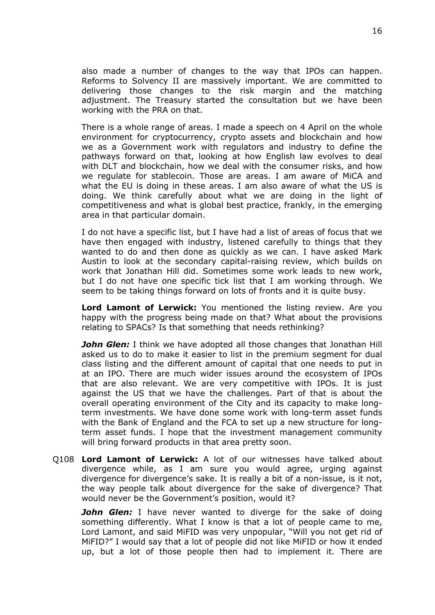also made a number of changes to the way that IPOs can happen. Reforms to Solvency II are massively important. We are committed to delivering those changes to the risk margin and the matching adjustment. The Treasury started the consultation but we have been working with the PRA on that.

There is a whole range of areas. I made a speech on 4 April on the whole environment for cryptocurrency, crypto assets and blockchain and how we as a Government work with regulators and industry to define the pathways forward on that, looking at how English law evolves to deal with DLT and blockchain, how we deal with the consumer risks, and how we regulate for stablecoin. Those are areas. I am aware of MiCA and what the EU is doing in these areas. I am also aware of what the US is doing. We think carefully about what we are doing in the light of competitiveness and what is global best practice, frankly, in the emerging area in that particular domain.

I do not have a specific list, but I have had a list of areas of focus that we have then engaged with industry, listened carefully to things that they wanted to do and then done as quickly as we can. I have asked Mark Austin to look at the secondary capital-raising review, which builds on work that Jonathan Hill did. Sometimes some work leads to new work, but I do not have one specific tick list that I am working through. We seem to be taking things forward on lots of fronts and it is quite busy.

**Lord Lamont of Lerwick:** You mentioned the listing review. Are you happy with the progress being made on that? What about the provisions relating to SPACs? Is that something that needs rethinking?

*John Glen:* I think we have adopted all those changes that Jonathan Hill asked us to do to make it easier to list in the premium segment for dual class listing and the different amount of capital that one needs to put in at an IPO. There are much wider issues around the ecosystem of IPOs that are also relevant. We are very competitive with IPOs. It is just against the US that we have the challenges. Part of that is about the overall operating environment of the City and its capacity to make longterm investments. We have done some work with long-term asset funds with the Bank of England and the FCA to set up a new structure for longterm asset funds. I hope that the investment management community will bring forward products in that area pretty soon.

Q108 **Lord Lamont of Lerwick:** A lot of our witnesses have talked about divergence while, as I am sure you would agree, urging against divergence for divergence's sake. It is really a bit of a non-issue, is it not, the way people talk about divergence for the sake of divergence? That would never be the Government's position, would it?

*John Glen:* I have never wanted to diverge for the sake of doing something differently. What I know is that a lot of people came to me, Lord Lamont, and said MiFID was very unpopular, "Will you not get rid of MiFID?" I would say that a lot of people did not like MiFID or how it ended up, but a lot of those people then had to implement it. There are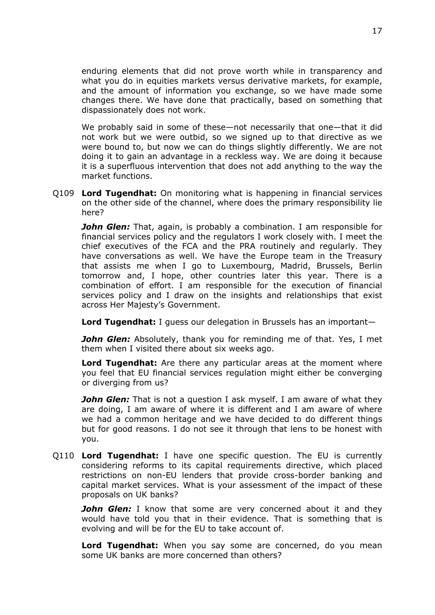enduring elements that did not prove worth while in transparency and what you do in equities markets versus derivative markets, for example, and the amount of information you exchange, so we have made some changes there. We have done that practically, based on something that dispassionately does not work.

We probably said in some of these—not necessarily that one—that it did not work but we were outbid, so we signed up to that directive as we were bound to, but now we can do things slightly differently. We are not doing it to gain an advantage in a reckless way. We are doing it because it is a superfluous intervention that does not add anything to the way the market functions.

Q109 **Lord Tugendhat:** On monitoring what is happening in financial services on the other side of the channel, where does the primary responsibility lie here?

*John Glen:* That, again, is probably a combination. I am responsible for financial services policy and the regulators I work closely with. I meet the chief executives of the FCA and the PRA routinely and regularly. They have conversations as well. We have the Europe team in the Treasury that assists me when I go to Luxembourg, Madrid, Brussels, Berlin tomorrow and, I hope, other countries later this year. There is a combination of effort. I am responsible for the execution of financial services policy and I draw on the insights and relationships that exist across Her Majesty's Government.

**Lord Tugendhat:** I guess our delegation in Brussels has an important—

**John Glen:** Absolutely, thank you for reminding me of that. Yes, I met them when I visited there about six weeks ago.

**Lord Tugendhat:** Are there any particular areas at the moment where you feel that EU financial services regulation might either be converging or diverging from us?

*John Glen:* That is not a question I ask myself. I am aware of what they are doing, I am aware of where it is different and I am aware of where we had a common heritage and we have decided to do different things but for good reasons. I do not see it through that lens to be honest with you.

Q110 **Lord Tugendhat:** I have one specific question. The EU is currently considering reforms to its capital requirements directive, which placed restrictions on non-EU lenders that provide cross-border banking and capital market services. What is your assessment of the impact of these proposals on UK banks?

*John Glen:* I know that some are very concerned about it and they would have told you that in their evidence. That is something that is evolving and will be for the EU to take account of.

**Lord Tugendhat:** When you say some are concerned, do you mean some UK banks are more concerned than others?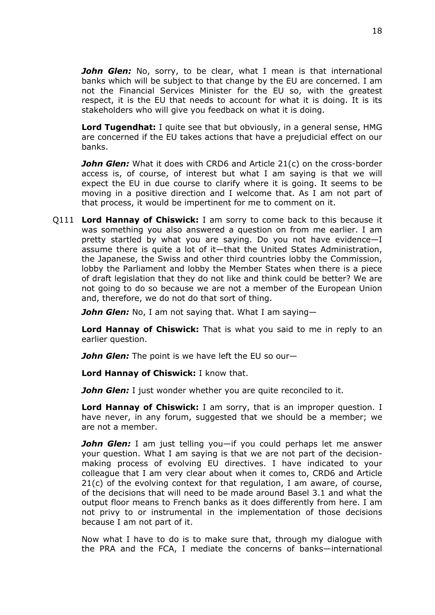*John Glen:* No, sorry, to be clear, what I mean is that international banks which will be subject to that change by the EU are concerned. I am not the Financial Services Minister for the EU so, with the greatest respect, it is the EU that needs to account for what it is doing. It is its stakeholders who will give you feedback on what it is doing.

**Lord Tugendhat:** I quite see that but obviously, in a general sense, HMG are concerned if the EU takes actions that have a prejudicial effect on our banks.

**John Glen:** What it does with CRD6 and Article 21(c) on the cross-border access is, of course, of interest but what I am saying is that we will expect the EU in due course to clarify where it is going. It seems to be moving in a positive direction and I welcome that. As I am not part of that process, it would be impertinent for me to comment on it.

Q111 **Lord Hannay of Chiswick:** I am sorry to come back to this because it was something you also answered a question on from me earlier. I am pretty startled by what you are saying. Do you not have evidence—I assume there is quite a lot of it—that the United States Administration, the Japanese, the Swiss and other third countries lobby the Commission, lobby the Parliament and lobby the Member States when there is a piece of draft legislation that they do not like and think could be better? We are not going to do so because we are not a member of the European Union and, therefore, we do not do that sort of thing.

*John Glen:* No, I am not saying that. What I am saying—

**Lord Hannay of Chiswick:** That is what you said to me in reply to an earlier question.

*John Glen:* The point is we have left the EU so our—

**Lord Hannay of Chiswick:** I know that.

*John Glen:* I just wonder whether you are quite reconciled to it.

**Lord Hannay of Chiswick:** I am sorry, that is an improper question. I have never, in any forum, suggested that we should be a member; we are not a member.

*John Glen:* I am just telling you—if you could perhaps let me answer your question. What I am saying is that we are not part of the decisionmaking process of evolving EU directives. I have indicated to your colleague that I am very clear about when it comes to, CRD6 and Article 21(c) of the evolving context for that regulation, I am aware, of course, of the decisions that will need to be made around Basel 3.1 and what the output floor means to French banks as it does differently from here. I am not privy to or instrumental in the implementation of those decisions because I am not part of it.

Now what I have to do is to make sure that, through my dialogue with the PRA and the FCA, I mediate the concerns of banks—international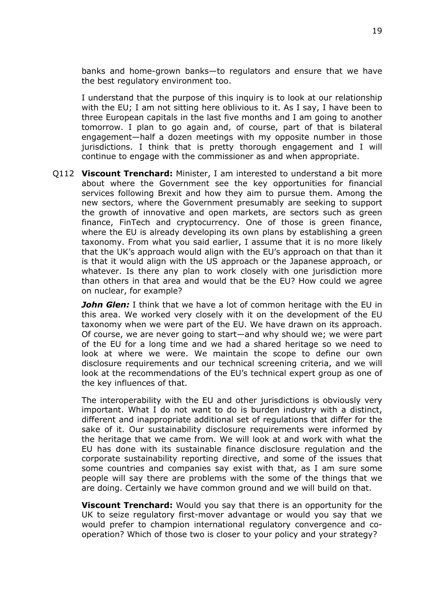banks and home-grown banks—to regulators and ensure that we have the best regulatory environment too.

I understand that the purpose of this inquiry is to look at our relationship with the EU; I am not sitting here oblivious to it. As I say, I have been to three European capitals in the last five months and I am going to another tomorrow. I plan to go again and, of course, part of that is bilateral engagement—half a dozen meetings with my opposite number in those jurisdictions. I think that is pretty thorough engagement and I will continue to engage with the commissioner as and when appropriate.

Q112 **Viscount Trenchard:** Minister, I am interested to understand a bit more about where the Government see the key opportunities for financial services following Brexit and how they aim to pursue them. Among the new sectors, where the Government presumably are seeking to support the growth of innovative and open markets, are sectors such as green finance, FinTech and cryptocurrency. One of those is green finance, where the EU is already developing its own plans by establishing a green taxonomy. From what you said earlier, I assume that it is no more likely that the UK's approach would align with the EU's approach on that than it is that it would align with the US approach or the Japanese approach, or whatever. Is there any plan to work closely with one jurisdiction more than others in that area and would that be the EU? How could we agree on nuclear, for example?

*John Glen:* I think that we have a lot of common heritage with the EU in this area. We worked very closely with it on the development of the EU taxonomy when we were part of the EU. We have drawn on its approach. Of course, we are never going to start—and why should we; we were part of the EU for a long time and we had a shared heritage so we need to look at where we were. We maintain the scope to define our own disclosure requirements and our technical screening criteria, and we will look at the recommendations of the EU's technical expert group as one of the key influences of that.

The interoperability with the EU and other jurisdictions is obviously very important. What I do not want to do is burden industry with a distinct, different and inappropriate additional set of regulations that differ for the sake of it. Our sustainability disclosure requirements were informed by the heritage that we came from. We will look at and work with what the EU has done with its sustainable finance disclosure regulation and the corporate sustainability reporting directive, and some of the issues that some countries and companies say exist with that, as I am sure some people will say there are problems with the some of the things that we are doing. Certainly we have common ground and we will build on that.

**Viscount Trenchard:** Would you say that there is an opportunity for the UK to seize regulatory first-mover advantage or would you say that we would prefer to champion international regulatory convergence and cooperation? Which of those two is closer to your policy and your strategy?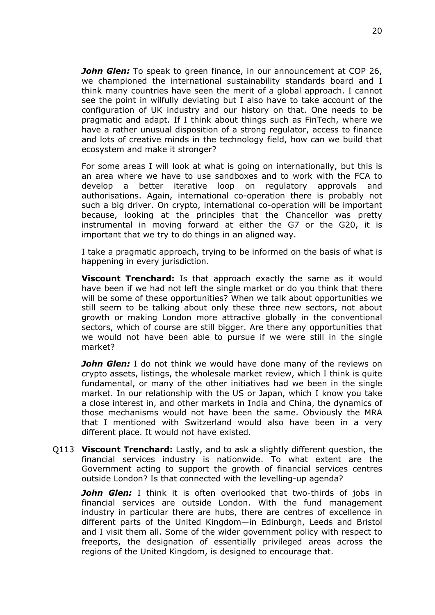*John Glen:* To speak to green finance, in our announcement at COP 26, we championed the international sustainability standards board and I think many countries have seen the merit of a global approach. I cannot see the point in wilfully deviating but I also have to take account of the configuration of UK industry and our history on that. One needs to be pragmatic and adapt. If I think about things such as FinTech, where we have a rather unusual disposition of a strong regulator, access to finance and lots of creative minds in the technology field, how can we build that ecosystem and make it stronger?

For some areas I will look at what is going on internationally, but this is an area where we have to use sandboxes and to work with the FCA to develop a better iterative loop on regulatory approvals and authorisations. Again, international co-operation there is probably not such a big driver. On crypto, international co-operation will be important because, looking at the principles that the Chancellor was pretty instrumental in moving forward at either the G7 or the G20, it is important that we try to do things in an aligned way.

I take a pragmatic approach, trying to be informed on the basis of what is happening in every jurisdiction.

**Viscount Trenchard:** Is that approach exactly the same as it would have been if we had not left the single market or do you think that there will be some of these opportunities? When we talk about opportunities we still seem to be talking about only these three new sectors, not about growth or making London more attractive globally in the conventional sectors, which of course are still bigger. Are there any opportunities that we would not have been able to pursue if we were still in the single market?

**John Glen:** I do not think we would have done many of the reviews on crypto assets, listings, the wholesale market review, which I think is quite fundamental, or many of the other initiatives had we been in the single market. In our relationship with the US or Japan, which I know you take a close interest in, and other markets in India and China, the dynamics of those mechanisms would not have been the same. Obviously the MRA that I mentioned with Switzerland would also have been in a very different place. It would not have existed.

Q113 **Viscount Trenchard:** Lastly, and to ask a slightly different question, the financial services industry is nationwide. To what extent are the Government acting to support the growth of financial services centres outside London? Is that connected with the levelling-up agenda?

*John Glen:* I think it is often overlooked that two-thirds of jobs in financial services are outside London. With the fund management industry in particular there are hubs, there are centres of excellence in different parts of the United Kingdom—in Edinburgh, Leeds and Bristol and I visit them all. Some of the wider government policy with respect to freeports, the designation of essentially privileged areas across the regions of the United Kingdom, is designed to encourage that.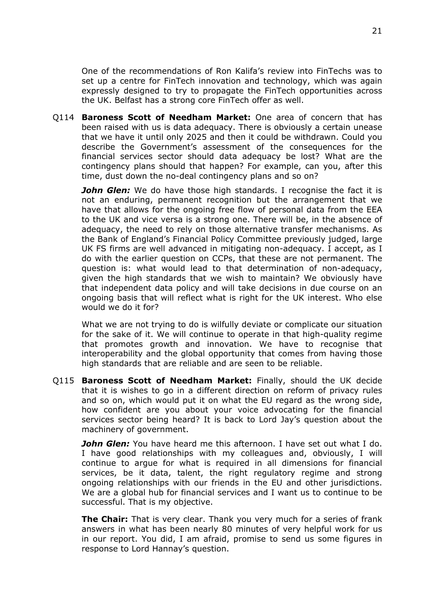One of the recommendations of Ron Kalifa's review into FinTechs was to set up a centre for FinTech innovation and technology, which was again expressly designed to try to propagate the FinTech opportunities across the UK. Belfast has a strong core FinTech offer as well.

Q114 **Baroness Scott of Needham Market:** One area of concern that has been raised with us is data adequacy. There is obviously a certain unease that we have it until only 2025 and then it could be withdrawn. Could you describe the Government's assessment of the consequences for the financial services sector should data adequacy be lost? What are the contingency plans should that happen? For example, can you, after this time, dust down the no-deal contingency plans and so on?

*John Glen:* We do have those high standards. I recognise the fact it is not an enduring, permanent recognition but the arrangement that we have that allows for the ongoing free flow of personal data from the EEA to the UK and vice versa is a strong one. There will be, in the absence of adequacy, the need to rely on those alternative transfer mechanisms. As the Bank of England's Financial Policy Committee previously judged, large UK FS firms are well advanced in mitigating non-adequacy. I accept, as I do with the earlier question on CCPs, that these are not permanent. The question is: what would lead to that determination of non-adequacy, given the high standards that we wish to maintain? We obviously have that independent data policy and will take decisions in due course on an ongoing basis that will reflect what is right for the UK interest. Who else would we do it for?

What we are not trying to do is wilfully deviate or complicate our situation for the sake of it. We will continue to operate in that high-quality regime that promotes growth and innovation. We have to recognise that interoperability and the global opportunity that comes from having those high standards that are reliable and are seen to be reliable.

Q115 **Baroness Scott of Needham Market:** Finally, should the UK decide that it is wishes to go in a different direction on reform of privacy rules and so on, which would put it on what the EU regard as the wrong side, how confident are you about your voice advocating for the financial services sector being heard? It is back to Lord Jay's question about the machinery of government.

*John Glen:* You have heard me this afternoon. I have set out what I do. I have good relationships with my colleagues and, obviously, I will continue to argue for what is required in all dimensions for financial services, be it data, talent, the right regulatory regime and strong ongoing relationships with our friends in the EU and other jurisdictions. We are a global hub for financial services and I want us to continue to be successful. That is my objective.

**The Chair:** That is very clear. Thank you very much for a series of frank answers in what has been nearly 80 minutes of very helpful work for us in our report. You did, I am afraid, promise to send us some figures in response to Lord Hannay's question.